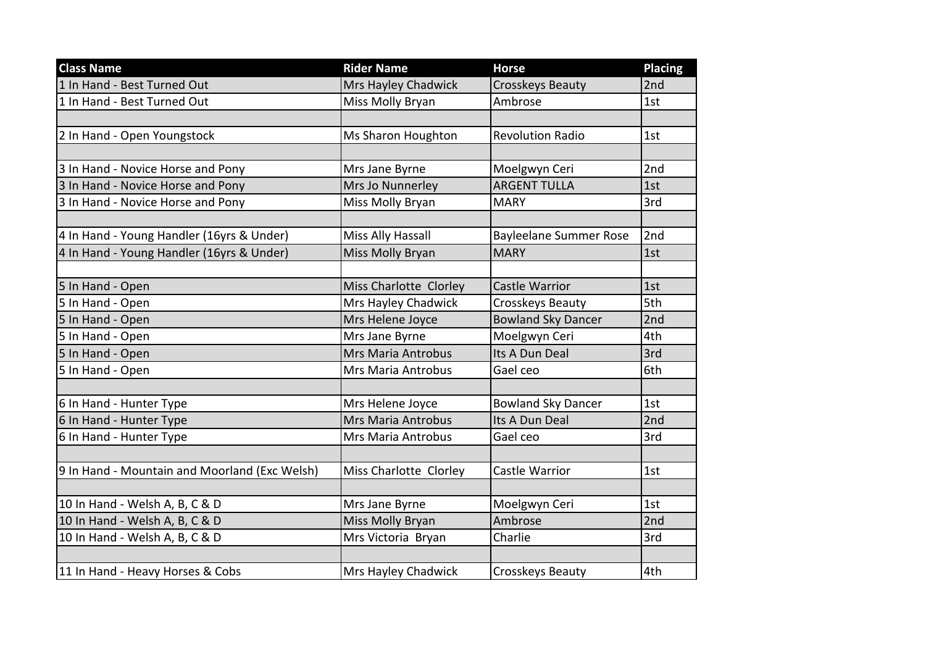| <b>Class Name</b>                             | <b>Rider Name</b>         | <b>Horse</b>                  | <b>Placing</b> |
|-----------------------------------------------|---------------------------|-------------------------------|----------------|
| 1 In Hand - Best Turned Out                   | Mrs Hayley Chadwick       | Crosskeys Beauty              | 2nd            |
| 1 In Hand - Best Turned Out                   | Miss Molly Bryan          | Ambrose                       | 1st            |
|                                               |                           |                               |                |
| 2 In Hand - Open Youngstock                   | Ms Sharon Houghton        | <b>Revolution Radio</b>       | 1st            |
|                                               |                           |                               |                |
| 3 In Hand - Novice Horse and Pony             | Mrs Jane Byrne            | Moelgwyn Ceri                 | 2nd            |
| 3 In Hand - Novice Horse and Pony             | Mrs Jo Nunnerley          | <b>ARGENT TULLA</b>           | 1st            |
| 3 In Hand - Novice Horse and Pony             | Miss Molly Bryan          | <b>MARY</b>                   | 3rd            |
|                                               |                           |                               |                |
| 4 In Hand - Young Handler (16yrs & Under)     | Miss Ally Hassall         | <b>Bayleelane Summer Rose</b> | 2nd            |
| 4 In Hand - Young Handler (16yrs & Under)     | Miss Molly Bryan          | <b>MARY</b>                   | 1st            |
|                                               |                           |                               |                |
| 5 In Hand - Open                              | Miss Charlotte Clorley    | Castle Warrior                | 1st            |
| 5 In Hand - Open                              | Mrs Hayley Chadwick       | Crosskeys Beauty              | 5th            |
| 5 In Hand - Open                              | Mrs Helene Joyce          | <b>Bowland Sky Dancer</b>     | 2nd            |
| 5 In Hand - Open                              | Mrs Jane Byrne            | Moelgwyn Ceri                 | 4th            |
| 5 In Hand - Open                              | <b>Mrs Maria Antrobus</b> | Its A Dun Deal                | 3rd            |
| 5 In Hand - Open                              | Mrs Maria Antrobus        | Gael ceo                      | 6th            |
|                                               |                           |                               |                |
| 6 In Hand - Hunter Type                       | Mrs Helene Joyce          | <b>Bowland Sky Dancer</b>     | 1st            |
| 6 In Hand - Hunter Type                       | <b>Mrs Maria Antrobus</b> | Its A Dun Deal                | 2nd            |
| 6 In Hand - Hunter Type                       | Mrs Maria Antrobus        | Gael ceo                      | 3rd            |
|                                               |                           |                               |                |
| 9 In Hand - Mountain and Moorland (Exc Welsh) | Miss Charlotte Clorley    | Castle Warrior                | 1st            |
|                                               |                           |                               |                |
| 10 In Hand - Welsh A, B, C & D                | Mrs Jane Byrne            | Moelgwyn Ceri                 | 1st            |
| 10 In Hand - Welsh A, B, C & D                | Miss Molly Bryan          | Ambrose                       | 2nd            |
| 10 In Hand - Welsh A, B, C & D                | Mrs Victoria Bryan        | Charlie                       | 3rd            |
|                                               |                           |                               |                |
| 11 In Hand - Heavy Horses & Cobs              | Mrs Hayley Chadwick       | Crosskeys Beauty              | 4th            |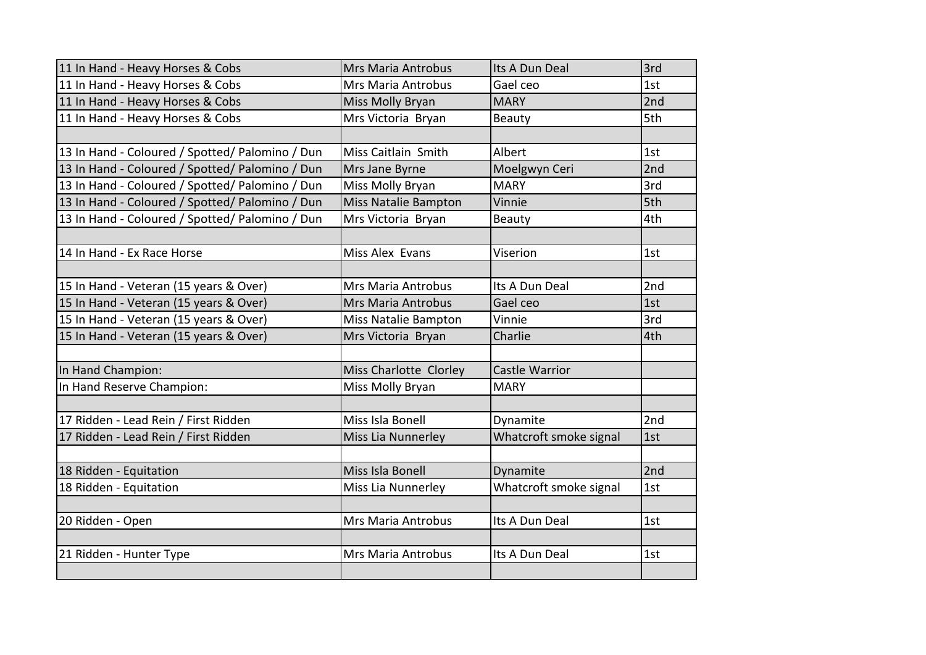| 11 In Hand - Heavy Horses & Cobs                | <b>Mrs Maria Antrobus</b>   | Its A Dun Deal         | 3rd |
|-------------------------------------------------|-----------------------------|------------------------|-----|
| 11 In Hand - Heavy Horses & Cobs                | <b>Mrs Maria Antrobus</b>   | Gael ceo               | 1st |
| 11 In Hand - Heavy Horses & Cobs                | Miss Molly Bryan            | <b>MARY</b>            | 2nd |
| 11 In Hand - Heavy Horses & Cobs                | Mrs Victoria Bryan          | <b>Beauty</b>          | 5th |
|                                                 |                             |                        |     |
| 13 In Hand - Coloured / Spotted/ Palomino / Dun | Miss Caitlain Smith         | Albert                 | 1st |
| 13 In Hand - Coloured / Spotted/ Palomino / Dun | Mrs Jane Byrne              | Moelgwyn Ceri          | 2nd |
| 13 In Hand - Coloured / Spotted/ Palomino / Dun | Miss Molly Bryan            | <b>MARY</b>            | 3rd |
| 13 In Hand - Coloured / Spotted/ Palomino / Dun | <b>Miss Natalie Bampton</b> | Vinnie                 | 5th |
| 13 In Hand - Coloured / Spotted/ Palomino / Dun | Mrs Victoria Bryan          | <b>Beauty</b>          | 4th |
|                                                 |                             |                        |     |
| 14 In Hand - Ex Race Horse                      | Miss Alex Evans             | Viserion               | 1st |
|                                                 |                             |                        |     |
| 15 In Hand - Veteran (15 years & Over)          | Mrs Maria Antrobus          | Its A Dun Deal         | 2nd |
| 15 In Hand - Veteran (15 years & Over)          | <b>Mrs Maria Antrobus</b>   | Gael ceo               | 1st |
| 15 In Hand - Veteran (15 years & Over)          | Miss Natalie Bampton        | Vinnie                 | 3rd |
| 15 In Hand - Veteran (15 years & Over)          | Mrs Victoria Bryan          | Charlie                | 4th |
|                                                 |                             |                        |     |
| In Hand Champion:                               | Miss Charlotte Clorley      | <b>Castle Warrior</b>  |     |
| In Hand Reserve Champion:                       | Miss Molly Bryan            | <b>MARY</b>            |     |
|                                                 |                             |                        |     |
| 17 Ridden - Lead Rein / First Ridden            | Miss Isla Bonell            | Dynamite               | 2nd |
| 17 Ridden - Lead Rein / First Ridden            | Miss Lia Nunnerley          | Whatcroft smoke signal | 1st |
|                                                 |                             |                        |     |
| 18 Ridden - Equitation                          | Miss Isla Bonell            | Dynamite               | 2nd |
| 18 Ridden - Equitation                          | Miss Lia Nunnerley          | Whatcroft smoke signal | 1st |
|                                                 |                             |                        |     |
| 20 Ridden - Open                                | Mrs Maria Antrobus          | Its A Dun Deal         | 1st |
|                                                 |                             |                        |     |
| 21 Ridden - Hunter Type                         | <b>Mrs Maria Antrobus</b>   | Its A Dun Deal         | 1st |
|                                                 |                             |                        |     |